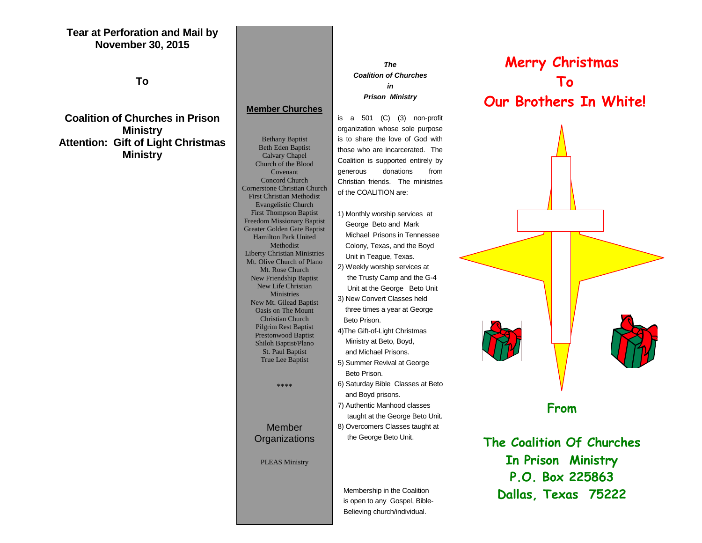## **Tear at Perforation and Mail by November 30, 2015**

**To**

**Coalition of Churches in Prison Ministry Attention: Gift of Light Christmas Ministry**

## **P. O. Box 225863** Church of the Blood **Drawing Concord Church** Christ **Member Churches** Bethany Baptist Beth Eden Baptist Calvary Chapel Covenant Cornerstone Christian Church First Christian Methodist Evangelistic Church First Thompson Baptist Freedom Missionary Baptist Greater Golden Gate Baptist Hamilton Park United Methodist Liberty Christian Ministries Mt. Olive Church of Plano Mt. Rose Church New Friendship Baptist New Life Christian Ministries New Mt. Gilead Baptist Oasis on The Mount Christian Church Pilgrim Rest Baptist Prestonwood Baptist Shiloh Baptist/Plano St. Paul Baptist True Lee Baptist \*\*\*\*

## Member **Organizations**

PLEAS Ministry

### *The Coalition of Churches in Prison Ministry*

is a 501 (C) (3) non-profit organization whose sole purpose is to share the love of God with those who are incarcerated. The Coalition is supported entirely by generous donations from Christian friends. The ministries of the COALITION are:

- 1) Monthly worship services at George Beto and Mark Michael Prisons in Tennessee Colony, Texas, and the Boyd Unit in Teague, Texas. 2) Weekly worship services at the Trusty Camp and the G-4 Unit at the George Beto Unit 3) New Convert Classes held
- three times a year at George Beto Prison.
- 4)The Gift-of-Light Christmas Ministry at Beto, Boyd, and Michael Prisons. 5) Summer Revival at George
- Beto Prison.
- 6) Saturday Bible Classes at Beto and Boyd prisons.
- 7) Authentic Manhood classes taught at the George Beto Unit. 8) Overcomers Classes taught at
- the George Beto Unit.

 Membership in the Coalition is open to any Gospel, Bible- Believing church/individual.

# **Merry Christmas To Our Brothers In White!**



**The Coalition Of Churches In Prison Ministry P.O. Box 225863 Dallas, Texas 75222**